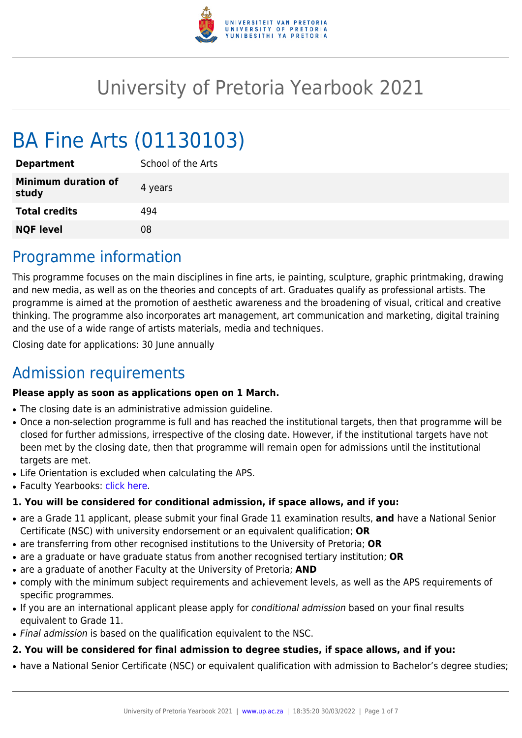

# University of Pretoria Yearbook 2021

# BA Fine Arts (01130103)

| <b>Department</b>                   | School of the Arts |
|-------------------------------------|--------------------|
| <b>Minimum duration of</b><br>study | 4 years            |
| <b>Total credits</b>                | 494                |
| <b>NQF level</b>                    | 08                 |
|                                     |                    |

### Programme information

This programme focuses on the main disciplines in fine arts, ie painting, sculpture, graphic printmaking, drawing and new media, as well as on the theories and concepts of art. Graduates qualify as professional artists. The programme is aimed at the promotion of aesthetic awareness and the broadening of visual, critical and creative thinking. The programme also incorporates art management, art communication and marketing, digital training and the use of a wide range of artists materials, media and techniques.

Closing date for applications: 30 June annually

# Admission requirements

#### **Please apply as soon as applications open on 1 March.**

- The closing date is an administrative admission quideline.
- Once a non-selection programme is full and has reached the institutional targets, then that programme will be closed for further admissions, irrespective of the closing date. However, if the institutional targets have not been met by the closing date, then that programme will remain open for admissions until the institutional targets are met.
- Life Orientation is excluded when calculating the APS.
- Faculty Yearbooks: [click here](http://www.up.ac.za/yearbooks/home).

#### **1. You will be considered for conditional admission, if space allows, and if you:**

- are a Grade 11 applicant, please submit your final Grade 11 examination results, **and** have a National Senior Certificate (NSC) with university endorsement or an equivalent qualification; **OR**
- are transferring from other recognised institutions to the University of Pretoria; **OR**
- are a graduate or have graduate status from another recognised tertiary institution; **OR**
- are a graduate of another Faculty at the University of Pretoria; **AND**
- comply with the minimum subject requirements and achievement levels, as well as the APS requirements of specific programmes.
- If you are an international applicant please apply for conditional admission based on your final results equivalent to Grade 11.
- Final admission is based on the qualification equivalent to the NSC.

#### **2. You will be considered for final admission to degree studies, if space allows, and if you:**

• have a National Senior Certificate (NSC) or equivalent qualification with admission to Bachelor's degree studies;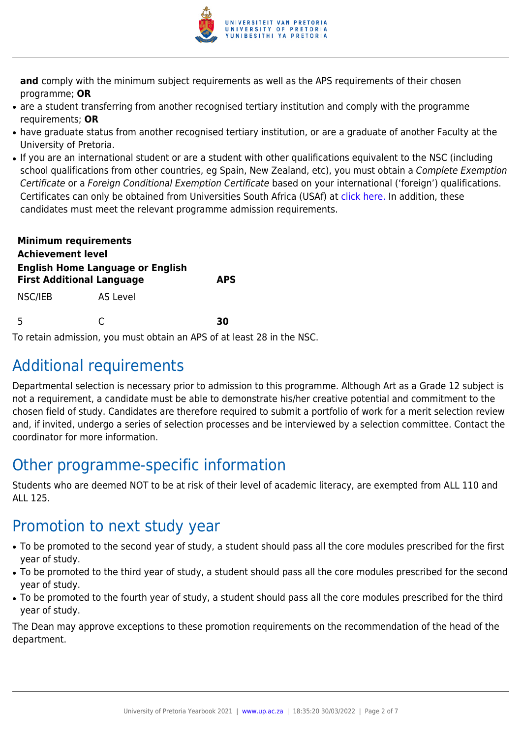

**and** comply with the minimum subject requirements as well as the APS requirements of their chosen programme; **OR**

- are a student transferring from another recognised tertiary institution and comply with the programme requirements; **OR**
- have graduate status from another recognised tertiary institution, or are a graduate of another Faculty at the University of Pretoria.
- If you are an international student or are a student with other qualifications equivalent to the NSC (including school qualifications from other countries, eg Spain, New Zealand, etc), you must obtain a Complete Exemption Certificate or a Foreign Conditional Exemption Certificate based on your international ('foreign') qualifications. Certificates can only be obtained from Universities South Africa (USAf) at [click here](https://mb.usaf.ac.za)[.](http://www.mb.usaf.ac.za/) In addition, these candidates must meet the relevant programme admission requirements.

| <b>Minimum requirements</b><br><b>Achievement level</b>                     |          |            |  |
|-----------------------------------------------------------------------------|----------|------------|--|
| <b>English Home Language or English</b><br><b>First Additional Language</b> |          | <b>APS</b> |  |
| NSC/IEB                                                                     | AS Level |            |  |
| 5                                                                           |          | 30         |  |

To retain admission, you must obtain an APS of at least 28 in the NSC.

# Additional requirements

Departmental selection is necessary prior to admission to this programme. Although Art as a Grade 12 subject is not a requirement, a candidate must be able to demonstrate his/her creative potential and commitment to the chosen field of study. Candidates are therefore required to submit a portfolio of work for a merit selection review and, if invited, undergo a series of selection processes and be interviewed by a selection committee. Contact the coordinator for more information.

# Other programme-specific information

Students who are deemed NOT to be at risk of their level of academic literacy, are exempted from ALL 110 and ALL 125.

### Promotion to next study year

- To be promoted to the second year of study, a student should pass all the core modules prescribed for the first year of study.
- To be promoted to the third year of study, a student should pass all the core modules prescribed for the second year of study.
- To be promoted to the fourth year of study, a student should pass all the core modules prescribed for the third year of study.

The Dean may approve exceptions to these promotion requirements on the recommendation of the head of the department.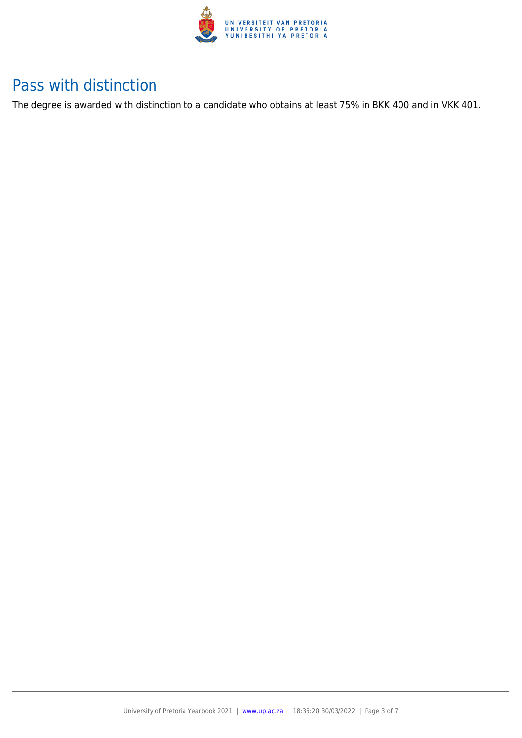

### Pass with distinction

The degree is awarded with distinction to a candidate who obtains at least 75% in BKK 400 and in VKK 401.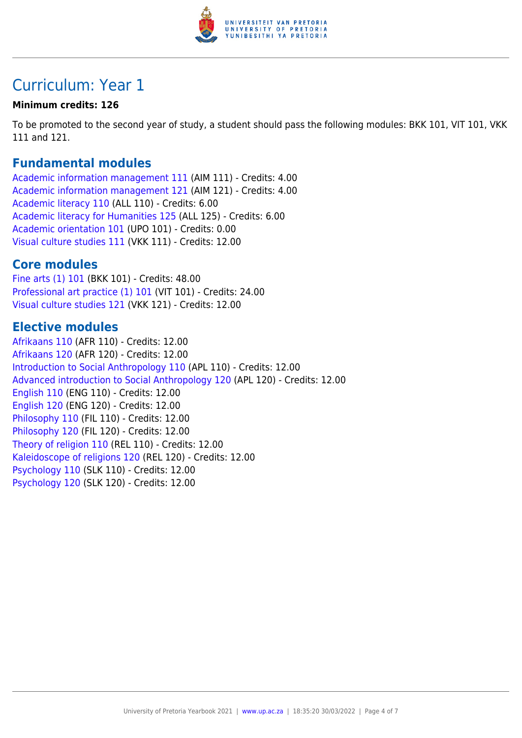

# Curriculum: Year 1

#### **Minimum credits: 126**

To be promoted to the second year of study, a student should pass the following modules: BKK 101, VIT 101, VKK 111 and 121.

### **Fundamental modules**

[Academic information management 111](https://www.up.ac.za/yearbooks/2021/modules/view/AIM 111) (AIM 111) - Credits: 4.00 [Academic information management 121](https://www.up.ac.za/yearbooks/2021/modules/view/AIM 121) (AIM 121) - Credits: 4.00 [Academic literacy 110](https://www.up.ac.za/yearbooks/2021/modules/view/ALL 110) (ALL 110) - Credits: 6.00 [Academic literacy for Humanities 125](https://www.up.ac.za/yearbooks/2021/modules/view/ALL 125) (ALL 125) - Credits: 6.00 [Academic orientation 101](https://www.up.ac.za/yearbooks/2021/modules/view/UPO 101) (UPO 101) - Credits: 0.00 [Visual culture studies 111](https://www.up.ac.za/yearbooks/2021/modules/view/VKK 111) (VKK 111) - Credits: 12.00

### **Core modules**

[Fine arts \(1\) 101](https://www.up.ac.za/yearbooks/2021/modules/view/BKK 101) (BKK 101) - Credits: 48.00 [Professional art practice \(1\) 101](https://www.up.ac.za/yearbooks/2021/modules/view/VIT 101) (VIT 101) - Credits: 24.00 [Visual culture studies 121](https://www.up.ac.za/yearbooks/2021/modules/view/VKK 121) (VKK 121) - Credits: 12.00

### **Elective modules**

[Afrikaans 110](https://www.up.ac.za/yearbooks/2021/modules/view/AFR 110) (AFR 110) - Credits: 12.00 [Afrikaans 120](https://www.up.ac.za/yearbooks/2021/modules/view/AFR 120) (AFR 120) - Credits: 12.00 [Introduction to Social Anthropology 110](https://www.up.ac.za/yearbooks/2021/modules/view/APL 110) (APL 110) - Credits: 12.00 [Advanced introduction to Social Anthropology 120](https://www.up.ac.za/yearbooks/2021/modules/view/APL 120) (APL 120) - Credits: 12.00 [English 110](https://www.up.ac.za/yearbooks/2021/modules/view/ENG 110) (ENG 110) - Credits: 12.00 [English 120](https://www.up.ac.za/yearbooks/2021/modules/view/ENG 120) (ENG 120) - Credits: 12.00 [Philosophy 110](https://www.up.ac.za/yearbooks/2021/modules/view/FIL 110) (FIL 110) - Credits: 12.00 [Philosophy 120](https://www.up.ac.za/yearbooks/2021/modules/view/FIL 120) (FIL 120) - Credits: 12.00 [Theory of religion 110](https://www.up.ac.za/yearbooks/2021/modules/view/REL 110) (REL 110) - Credits: 12.00 [Kaleidoscope of religions 120](https://www.up.ac.za/yearbooks/2021/modules/view/REL 120) (REL 120) - Credits: 12.00 [Psychology 110](https://www.up.ac.za/yearbooks/2021/modules/view/SLK 110) (SLK 110) - Credits: 12.00 [Psychology 120](https://www.up.ac.za/yearbooks/2021/modules/view/SLK 120) (SLK 120) - Credits: 12.00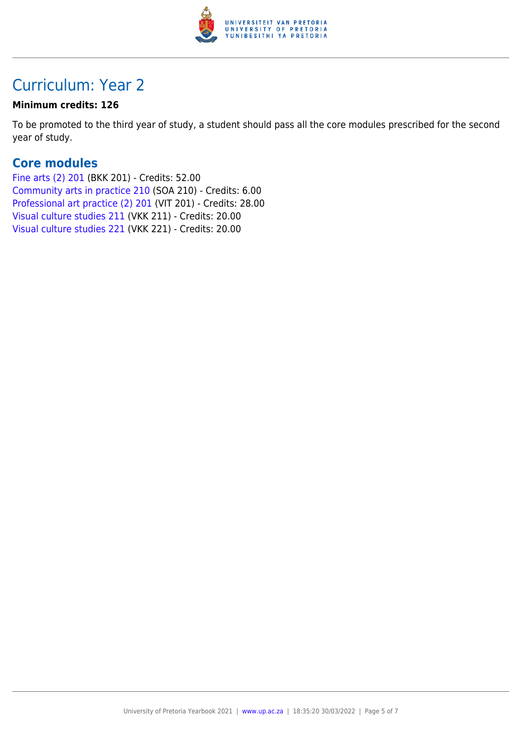

# Curriculum: Year 2

#### **Minimum credits: 126**

To be promoted to the third year of study, a student should pass all the core modules prescribed for the second year of study.

### **Core modules**

[Fine arts \(2\) 201](https://www.up.ac.za/yearbooks/2021/modules/view/BKK 201) (BKK 201) - Credits: 52.00 [Community arts in practice 210](https://www.up.ac.za/yearbooks/2021/modules/view/SOA 210) (SOA 210) - Credits: 6.00 [Professional art practice \(2\) 201](https://www.up.ac.za/yearbooks/2021/modules/view/VIT 201) (VIT 201) - Credits: 28.00 [Visual culture studies 211](https://www.up.ac.za/yearbooks/2021/modules/view/VKK 211) (VKK 211) - Credits: 20.00 [Visual culture studies 221](https://www.up.ac.za/yearbooks/2021/modules/view/VKK 221) (VKK 221) - Credits: 20.00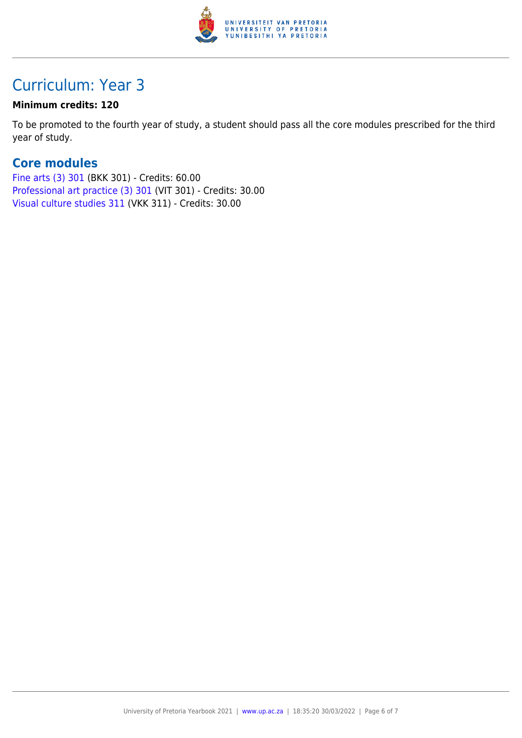

# Curriculum: Year 3

#### **Minimum credits: 120**

To be promoted to the fourth year of study, a student should pass all the core modules prescribed for the third year of study.

### **Core modules**

[Fine arts \(3\) 301](https://www.up.ac.za/yearbooks/2021/modules/view/BKK 301) (BKK 301) - Credits: 60.00 [Professional art practice \(3\) 301](https://www.up.ac.za/yearbooks/2021/modules/view/VIT 301) (VIT 301) - Credits: 30.00 [Visual culture studies 311](https://www.up.ac.za/yearbooks/2021/modules/view/VKK 311) (VKK 311) - Credits: 30.00